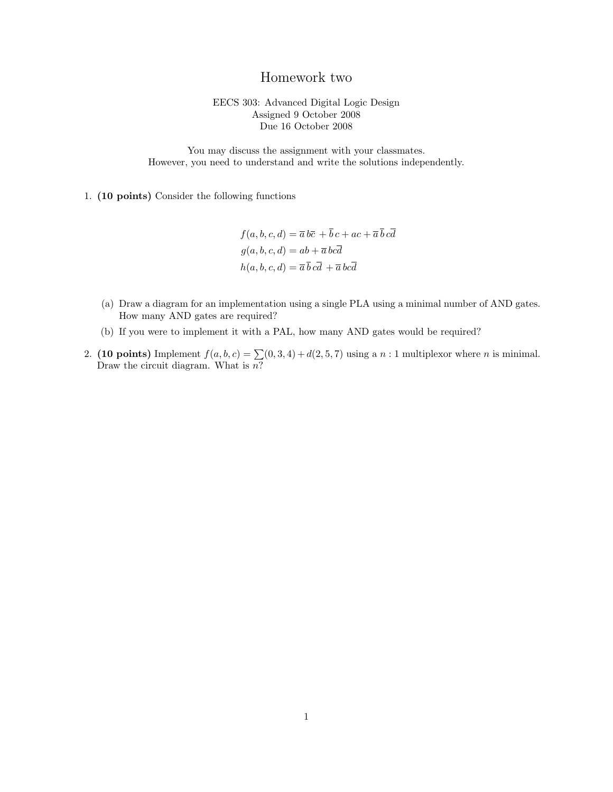## Homework two

EECS 303: Advanced Digital Logic Design Assigned 9 October 2008 Due 16 October 2008

You may discuss the assignment with your classmates. However, you need to understand and write the solutions independently.

1. (10 points) Consider the following functions

$$
f(a, b, c, d) = \overline{a} b\overline{c} + \overline{b} c + ac + \overline{a} \overline{b} c\overline{d}
$$
  

$$
g(a, b, c, d) = ab + \overline{a} b c\overline{d}
$$
  

$$
h(a, b, c, d) = \overline{a} \overline{b} c\overline{d} + \overline{a} b c\overline{d}
$$

- (a) Draw a diagram for an implementation using a single PLA using a minimal number of AND gates. How many AND gates are required?
- (b) If you were to implement it with a PAL, how many AND gates would be required?
- 2. (10 points) Implement  $f(a, b, c) = \sum (0, 3, 4) + d(2, 5, 7)$  using a n: 1 multiplexor where n is minimal. Draw the circuit diagram. What is  $\overline{n?}$